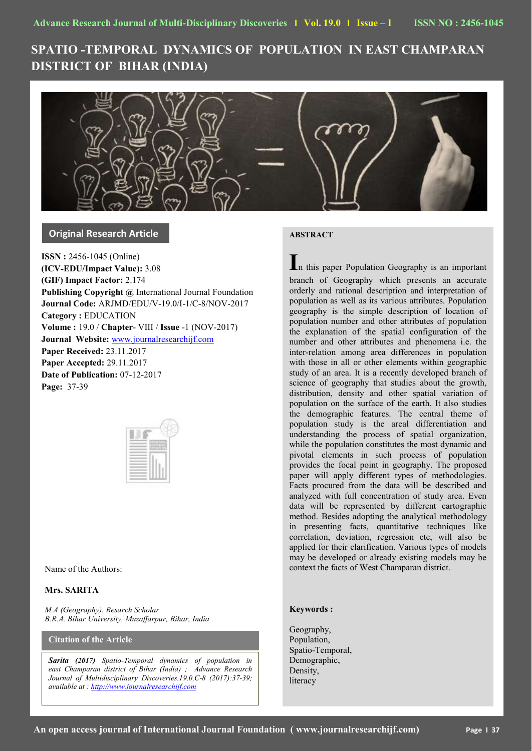# **SPATIO -TEMPORAL DYNAMICS OF POPULATION IN EAST CHAMPARAN DISTRICT OF BIHAR (INDIA)**



## **Original Research Article**

**ISSN :** 2456-1045 (Online) **(ICV-EDU/Impact Value):** 3.08 **(GIF) Impact Factor:** 2.174 **Publishing Copyright @** International Journal Foundation **Journal Code:** ARJMD/EDU/V-19.0/I-1/C-8/NOV-2017 **Category :** EDUCATION **Volume :** 19.0 / **Chapter**- VIII / **Issue** -1 (NOV-2017) **Journal Website:** [www.journalresearchijf.com](http://www.journalresearchijf.com/) **Paper Received:** 23.11.2017 **Paper Accepted:** 29.11.2017 **Date of Publication:** 07-12-2017 **Page:** 37-39

Name of the Authors:

## **Mrs. SARITA**

*M.A (Geography). Resarch Scholar B.R.A. Bihar University, Muzaffarpur, Bihar, India*

**Citation of the Article**

*Sarita (2017) Spatio-Temporal dynamics of population in east Champaran district of Bihar (India) ; Advance Research Journal of Multidisciplinary Discoveries.19.0,C-8 (2017):37-39; available at [: http://www.journalresearchijf.com](http://www.journalresearchijf.com/)*

## **ABSTRACT**

**I**n this paper Population Geography is an important branch of Geography which presents an accurate orderly and rational description and interpretation of population as well as its various attributes. Population geography is the simple description of location of population number and other attributes of population the explanation of the spatial configuration of the number and other attributes and phenomena i.e. the inter-relation among area differences in population with those in all or other elements within geographic study of an area. It is a recently developed branch of science of geography that studies about the growth, distribution, density and other spatial variation of population on the surface of the earth. It also studies the demographic features. The central theme of population study is the areal differentiation and understanding the process of spatial organization, while the population constitutes the most dynamic and pivotal elements in such process of population provides the focal point in geography. The proposed paper will apply different types of methodologies. Facts procured from the data will be described and analyzed with full concentration of study area. Even data will be represented by different cartographic method. Besides adopting the analytical methodology in presenting facts, quantitative techniques like correlation, deviation, regression etc, will also be applied for their clarification. Various types of models may be developed or already existing models may be context the facts of West Champaran district.

## **Keywords :**

Geography, Population, Spatio-Temporal, Demographic, Density, literacy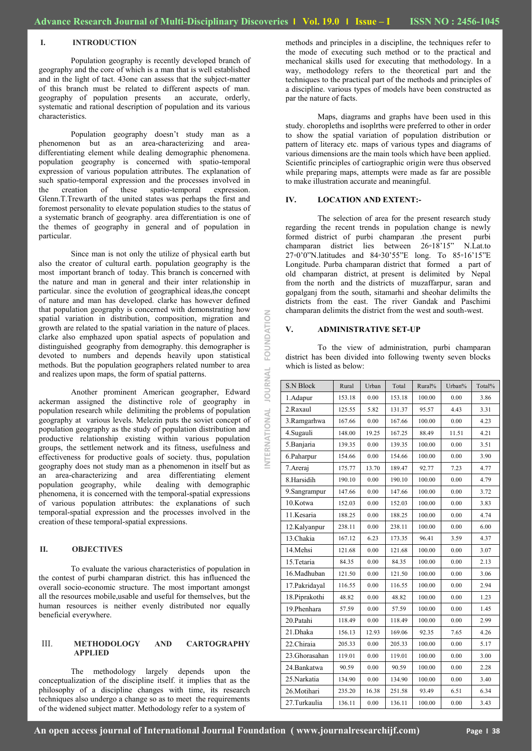#### **I. INTRODUCTION**

Population geography is recently developed branch of geography and the core of which is a man that is well established and in the light of tact. 43one can assess that the subject-matter of this branch must be related to different aspects of man. geography of population presents an accurate, orderly, systematic and rational description of population and its various characteristics.

Population geography doesn't study man as a phenomenon but as an area-characterizing and areadifferentiating element while dealing demographic phenomena. population geography is concerned with spatio-temporal expression of various population attributes. The explanation of such spatio-temporal expression and the processes involved in the creation of these spatio-temporal expression. Glenn.T.Trewarth of the united states was perhaps the first and foremost personality to elevate population studies to the status of a systematic branch of geography. area differentiation is one of the themes of geography in general and of population in particular.

Since man is not only the utilize of physical earth but also the creator of cultural earth. population geography is the most important branch of today. This branch is concerned with the nature and man in general and their inter relationship in particular. since the evolution of geographical ideas,the concept of nature and man has developed. clarke has however defined that population geography is concerned with demonstrating how spatial variation in distribution, composition, migration and growth are related to the spatial variation in the nature of places. clarke also emphazed upon spatial aspects of population and distinguished geography from demography. this demographer is devoted to numbers and depends heavily upon statistical methods. But the population geographers related number to area and realizes upon maps, the form of spatial patterns.

Another prominent American geographer, Edward ackerman assigned the distinctive role of geography in population research while delimiting the problems of population geography at various levels. Melezin puts the soviet concept of population geography as the study of population distribution and productive relationship existing within various population groups, the settlement network and its fitness, usefulness and effectiveness for productive goals of society. thus, population geography does not study man as a phenomenon in itself but as an area-characterizing and area differentiating element population geography, while dealing with demographic phenomena, it is concerned with the temporal-spatial expressions of various population attributes: the explanations of such temporal-spatial expression and the processes involved in the creation of these temporal-spatial expressions.

#### **II. OBJECTIVES**

To evaluate the various characteristics of population in the contest of purbi champaran district. this has influenced the overall socio-economic structure. The most important amongst all the resources mobile,usable and useful for themselves, but the human resources is neither evenly distributed nor equally beneficial everywhere.

#### III. **METHODOLOGY AND CARTOGRAPHY APPLIED**

The methodology largely depends upon the conceptualization of the discipline itself. it implies that as the philosophy of a discipline changes with time, its research techniques also undergo a change so as to meet the requirements of the widened subject matter. Methodology refer to a system of

methods and principles in a discipline, the techniques refer to the mode of executing such method or to the practical and mechanical skills used for executing that methodology. In a way, methodology refers to the theoretical part and the techniques to the practical part of the methods and principles of a discipline. various types of models have been constructed as par the nature of facts.

Maps, diagrams and graphs have been used in this study. choropleths and isoplrths were preferred to other in order to show the spatial variation of population distribution or pattern of literacy etc. maps of various types and diagrams of various dimensions are the main tools which have been applied. Scientific principles of cartiographic origin were thus observed while preparing maps, attempts were made as far are possible to make illustration accurate and meaningful.

#### **IV. LOCATION AND EXTENT:-**

The selection of area for the present research study regarding the recent trends in population change is newly formed district of purbi champaran .the present purbi champaran district lies between 26◦18'15" N.Lat.to 27◦0'0"N.latitudes and 84◦30'55"E long. To 85◦16'15"E Longitude. Purba champaran district that formed a part of old champaran district, at present is delimited by Nepal from the north and the districts of muzaffarpur, saran and gopalganj from the south, sitamarhi and sheohar delimilts the districts from the east. The river Gandak and Paschimi champaran delimits the district from the west and south-west.

#### **V. ADMINISTRATIVE SET-UP**

**INTERNATIONAL JOURNAL FOUNDATION**

NTERNATIONAL JOURNAL

FOUNDATION

To the view of administration, purbi champaran district has been divided into following twenty seven blocks which is listed as below:

| <b>S.N Block</b> | Rural  | Urban | Total  | Rural% | Urban% | Total% |
|------------------|--------|-------|--------|--------|--------|--------|
| 1.Adapur         | 153.18 | 0.00  | 153.18 | 100.00 | 0.00   | 3.86   |
| 2.Raxaul         | 125.55 | 5.82  | 131.37 | 95.57  | 4.43   | 3.31   |
| 3.Ramgarhwa      | 167.66 | 0.00  | 167.66 | 100.00 | 0.00   | 4.23   |
| 4. Sugauli       | 148.00 | 19.25 | 167.25 | 88.49  | 11.51  | 4.21   |
| 5.Banjaria       | 139.35 | 0.00  | 139.35 | 100.00 | 0.00   | 3.51   |
| 6.Paharpur       | 154.66 | 0.00  | 154.66 | 100.00 | 0.00   | 3.90   |
| 7. Areraj        | 175.77 | 13.70 | 189.47 | 92.77  | 7.23   | 4.77   |
| 8.Harsidih       | 190.10 | 0.00  | 190.10 | 100.00 | 0.00   | 4.79   |
| 9.Sangrampur     | 147.66 | 0.00  | 147.66 | 100.00 | 0.00   | 3.72   |
| 10.Kotwa         | 152.03 | 0.00  | 152.03 | 100.00 | 0.00   | 3.83   |
| 11.Kesaria       | 188.25 | 0.00  | 188.25 | 100.00 | 0.00   | 4.74   |
| 12.Kalyanpur     | 238.11 | 0.00  | 238.11 | 100.00 | 0.00   | 6.00   |
| 13.Chakia        | 167.12 | 6.23  | 173.35 | 96.41  | 3.59   | 4.37   |
| 14.Mehsi         | 121.68 | 0.00  | 121.68 | 100.00 | 0.00   | 3.07   |
| 15. Tetaria      | 84.35  | 0.00  | 84.35  | 100.00 | 0.00   | 2.13   |
| 16.Madhuban      | 121.50 | 0.00  | 121.50 | 100.00 | 0.00   | 3.06   |
| 17. Pakridayal   | 116.55 | 0.00  | 116.55 | 100.00 | 0.00   | 2.94   |
| 18. Piprakothi   | 48.82  | 0.00  | 48.82  | 100.00 | 0.00   | 1.23   |
| 19. Phenhara     | 57.59  | 0.00  | 57.59  | 100.00 | 0.00   | 1.45   |
| 20.Patahi        | 118.49 | 0.00  | 118.49 | 100.00 | 0.00   | 2.99   |
| 21.Dhaka         | 156.13 | 12.93 | 169.06 | 92.35  | 7.65   | 4.26   |
| 22.Chiraia       | 205.33 | 0.00  | 205.33 | 100.00 | 0.00   | 5.17   |
| 23.Ghorasahan    | 119.01 | 0.00  | 119.01 | 100.00 | 0.00   | 3.00   |
| 24. Bankatwa     | 90.59  | 0.00  | 90.59  | 100.00 | 0.00   | 2.28   |
| 25 Narkatia      | 134.90 | 0.00  | 134.90 | 100.00 | 0.00   | 3.40   |
| 26.Motihari      | 235.20 | 16.38 | 251.58 | 93.49  | 6.51   | 6.34   |
| 27.Turkaulia     | 136.11 | 0.00  | 136.11 | 100.00 | 0.00   | 3.43   |